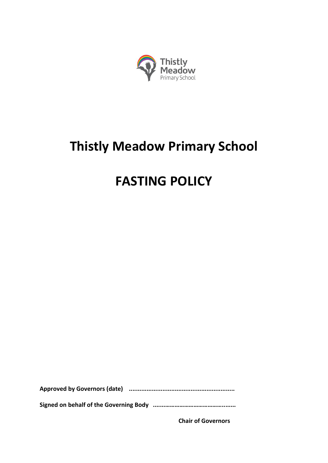

# **Thistly Meadow Primary School**

## **FASTING POLICY**

**Approved by Governors (date) ............................................................**

**Signed on behalf of the Governing Body .......………………………………........**

**Chair of Governors**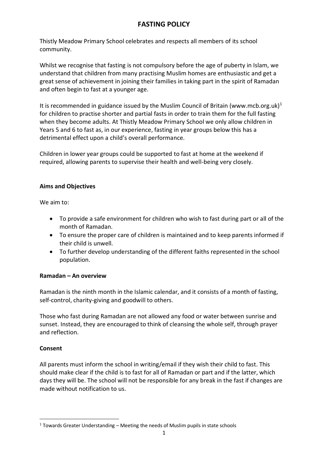### **FASTING POLICY**

Thistly Meadow Primary School celebrates and respects all members of its school community.

Whilst we recognise that fasting is not compulsory before the age of puberty in Islam, we understand that children from many practising Muslim homes are enthusiastic and get a great sense of achievement in joining their families in taking part in the spirit of Ramadan and often begin to fast at a younger age.

It is recommended in guidance issued by the Muslim Council of Britain (www.mcb.org.uk)<sup>1</sup> for children to practise shorter and partial fasts in order to train them for the full fasting when they become adults. At Thistly Meadow Primary School we only allow children in Years 5 and 6 to fast as, in our experience, fasting in year groups below this has a detrimental effect upon a child's overall performance.

Children in lower year groups could be supported to fast at home at the weekend if required, allowing parents to supervise their health and well-being very closely.

#### **Aims and Objectives**

We aim to:

- To provide a safe environment for children who wish to fast during part or all of the month of Ramadan.
- To ensure the proper care of children is maintained and to keep parents informed if their child is unwell.
- To further develop understanding of the different faiths represented in the school population.

#### **Ramadan – An overview**

Ramadan is the ninth month in the Islamic calendar, and it consists of a month of fasting, self-control, charity-giving and goodwill to others.

Those who fast during Ramadan are not allowed any food or water between sunrise and sunset. Instead, they are encouraged to think of cleansing the whole self, through prayer and reflection.

#### **Consent**

1

All parents must inform the school in writing/email if they wish their child to fast. This should make clear if the child is to fast for all of Ramadan or part and if the latter, which days they will be. The school will not be responsible for any break in the fast if changes are made without notification to us.

 $1$  Towards Greater Understanding – Meeting the needs of Muslim pupils in state schools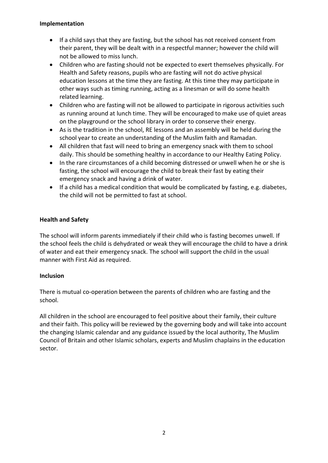#### **Implementation**

- If a child says that they are fasting, but the school has not received consent from their parent, they will be dealt with in a respectful manner; however the child will not be allowed to miss lunch.
- Children who are fasting should not be expected to exert themselves physically. For Health and Safety reasons, pupils who are fasting will not do active physical education lessons at the time they are fasting. At this time they may participate in other ways such as timing running, acting as a linesman or will do some health related learning.
- Children who are fasting will not be allowed to participate in rigorous activities such as running around at lunch time. They will be encouraged to make use of quiet areas on the playground or the school library in order to conserve their energy.
- As is the tradition in the school, RE lessons and an assembly will be held during the school year to create an understanding of the Muslim faith and Ramadan.
- All children that fast will need to bring an emergency snack with them to school daily. This should be something healthy in accordance to our Healthy Eating Policy.
- In the rare circumstances of a child becoming distressed or unwell when he or she is fasting, the school will encourage the child to break their fast by eating their emergency snack and having a drink of water.
- If a child has a medical condition that would be complicated by fasting, e.g. diabetes, the child will not be permitted to fast at school.

#### **Health and Safety**

The school will inform parents immediately if their child who is fasting becomes unwell. If the school feels the child is dehydrated or weak they will encourage the child to have a drink of water and eat their emergency snack. The school will support the child in the usual manner with First Aid as required.

#### **Inclusion**

There is mutual co-operation between the parents of children who are fasting and the school.

All children in the school are encouraged to feel positive about their family, their culture and their faith. This policy will be reviewed by the governing body and will take into account the changing Islamic calendar and any guidance issued by the local authority, The Muslim Council of Britain and other Islamic scholars, experts and Muslim chaplains in the education sector.